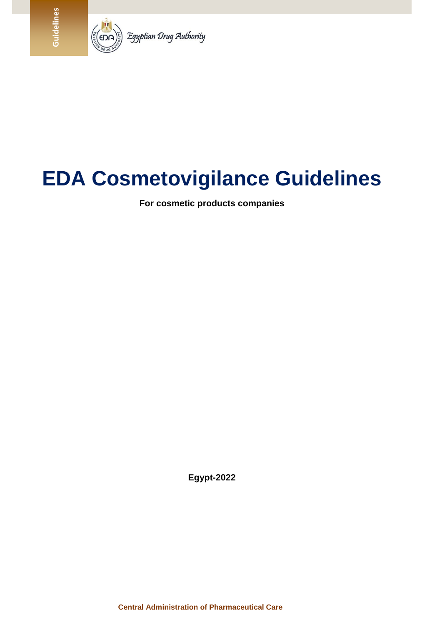

# **EDA Cosmetovigilance Guidelines**

**For cosmetic products companies**

**Egypt-2022**

**Central Administration of Pharmaceutical Care**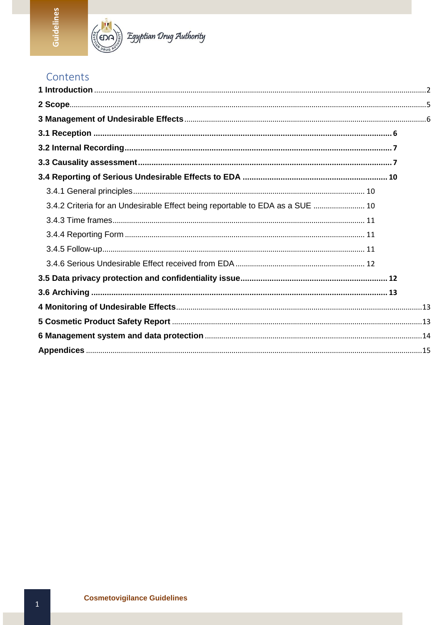

 $\widehat{\mathbb{E}}_{\widehat{\mathbb{S}}}$  Egyptian Drug Authority

# Contents

| 3.4.2 Criteria for an Undesirable Effect being reportable to EDA as a SUE  10 |  |
|-------------------------------------------------------------------------------|--|
|                                                                               |  |
|                                                                               |  |
|                                                                               |  |
|                                                                               |  |
|                                                                               |  |
|                                                                               |  |
|                                                                               |  |
|                                                                               |  |
|                                                                               |  |
|                                                                               |  |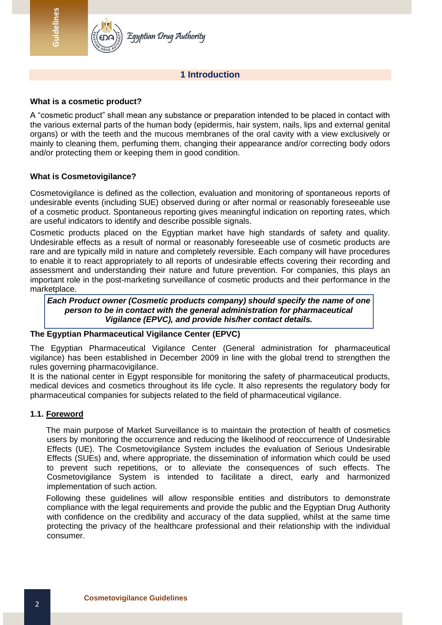

Egyptian Drug Authority

#### **1 Introduction**

#### <span id="page-2-0"></span>**What is a cosmetic product?**

A "cosmetic product" shall mean any substance or preparation intended to be placed in contact with the various external parts of the human body (epidermis, hair system, nails, lips and external genital organs) or with the teeth and the mucous membranes of the oral cavity with a view exclusively or mainly to cleaning them, perfuming them, changing their appearance and/or correcting body odors and/or protecting them or keeping them in good condition.

#### **What is Cosmetovigilance?**

Cosmetovigilance is defined as the collection, evaluation and monitoring of spontaneous reports of undesirable events (including SUE) observed during or after normal or reasonably foreseeable use of a cosmetic product. Spontaneous reporting gives meaningful indication on reporting rates, which are useful indicators to identify and describe possible signals.

Cosmetic products placed on the Egyptian market have high standards of safety and quality. Undesirable effects as a result of normal or reasonably foreseeable use of cosmetic products are rare and are typically mild in nature and completely reversible. Each company will have procedures to enable it to react appropriately to all reports of undesirable effects covering their recording and assessment and understanding their nature and future prevention. For companies, this plays an important role in the post-marketing surveillance of cosmetic products and their performance in the marketplace.

*Each Product owner (Cosmetic products company) should specify the name of one person to be in contact with the general administration for pharmaceutical Vigilance (EPVC), and provide his/her contact details.*

#### **The Egyptian Pharmaceutical Vigilance Center (EPVC)**

The Egyptian Pharmaceutical Vigilance Center (General administration for pharmaceutical vigilance) has been established in December 2009 in line with the global trend to strengthen the rules governing pharmacovigilance.

It is the national center in Egypt responsible for monitoring the safety of pharmaceutical products, medical devices and cosmetics throughout its life cycle. It also represents the regulatory body for pharmaceutical companies for subjects related to the field of pharmaceutical vigilance.

#### **1.1. Foreword**

The main purpose of Market Surveillance is to maintain the protection of health of cosmetics users by monitoring the occurrence and reducing the likelihood of reoccurrence of Undesirable Effects (UE). The Cosmetovigilance System includes the evaluation of Serious Undesirable Effects (SUEs) and, where appropriate, the dissemination of information which could be used to prevent such repetitions, or to alleviate the consequences of such effects. The Cosmetovigilance System is intended to facilitate a direct, early and harmonized implementation of such action.

Following these guidelines will allow responsible entities and distributors to demonstrate compliance with the legal requirements and provide the public and the Egyptian Drug Authority with confidence on the credibility and accuracy of the data supplied, whilst at the same time protecting the privacy of the healthcare professional and their relationship with the individual consumer.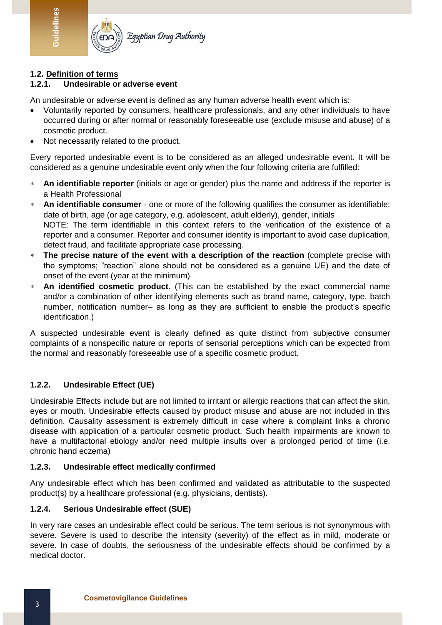

# Egyptian Drug Authority

# **1.2. Definition of terms**

**Guidelines**

#### **1.2.1. Undesirable or adverse event**

An undesirable or adverse event is defined as any human adverse health event which is:

- Voluntarily reported by consumers, healthcare professionals, and any other individuals to have occurred during or after normal or reasonably foreseeable use (exclude misuse and abuse) of a cosmetic product.
- Not necessarily related to the product.

Every reported undesirable event is to be considered as an alleged undesirable event. It will be considered as a genuine undesirable event only when the four following criteria are fulfilled:

- **An identifiable reporter** (initials or age or gender) plus the name and address if the reporter is a Health Professional
- **An identifiable consumer** one or more of the following qualifies the consumer as identifiable: date of birth, age (or age category, e.g. adolescent, adult elderly), gender, initials NOTE: The term identifiable in this context refers to the verification of the existence of a reporter and a consumer. Reporter and consumer identity is important to avoid case duplication, detect fraud, and facilitate appropriate case processing.
- **The precise nature of the event with a description of the reaction** (complete precise with the symptoms; "reaction" alone should not be considered as a genuine UE) and the date of onset of the event (year at the minimum)
- **An identified cosmetic product**. (This can be established by the exact commercial name and/or a combination of other identifying elements such as brand name, category, type, batch number, notification number– as long as they are sufficient to enable the product's specific identification.)

A suspected undesirable event is clearly defined as quite distinct from subjective consumer complaints of a nonspecific nature or reports of sensorial perceptions which can be expected from the normal and reasonably foreseeable use of a specific cosmetic product.

# **1.2.2. Undesirable Effect (UE)**

Undesirable Effects include but are not limited to irritant or allergic reactions that can affect the skin, eyes or mouth. Undesirable effects caused by product misuse and abuse are not included in this definition. Causality assessment is extremely difficult in case where a complaint links a chronic disease with application of a particular cosmetic product. Such health impairments are known to have a multifactorial etiology and/or need multiple insults over a prolonged period of time (i.e. chronic hand eczema)

#### **1.2.3. Undesirable effect medically confirmed**

Any undesirable effect which has been confirmed and validated as attributable to the suspected product(s) by a healthcare professional (e.g. physicians, dentists).

#### **1.2.4. Serious Undesirable effect (SUE)**

In very rare cases an undesirable effect could be serious. The term serious is not synonymous with severe. Severe is used to describe the intensity (severity) of the effect as in mild, moderate or severe. In case of doubts, the seriousness of the undesirable effects should be confirmed by a medical doctor.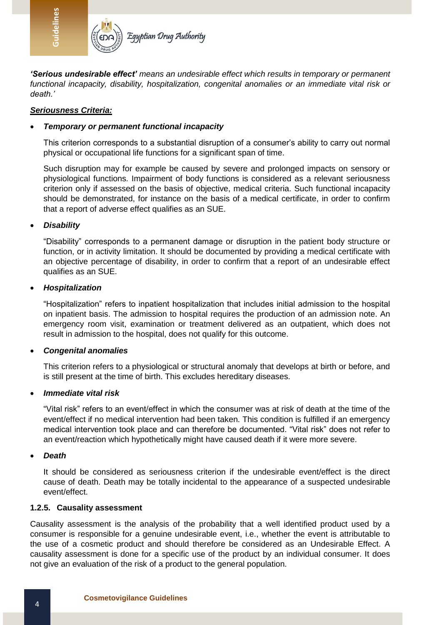

*'Serious undesirable effect' means an undesirable effect which results in temporary or permanent functional incapacity, disability, hospitalization, congenital anomalies or an immediate vital risk or death.'* 

#### *Seriousness Criteria:*

#### *Temporary or permanent functional incapacity*

This criterion corresponds to a substantial disruption of a consumer's ability to carry out normal physical or occupational life functions for a significant span of time.

Such disruption may for example be caused by severe and prolonged impacts on sensory or physiological functions. Impairment of body functions is considered as a relevant seriousness criterion only if assessed on the basis of objective, medical criteria. Such functional incapacity should be demonstrated, for instance on the basis of a medical certificate, in order to confirm that a report of adverse effect qualifies as an SUE.

#### *Disability*

"Disability" corresponds to a permanent damage or disruption in the patient body structure or function, or in activity limitation. It should be documented by providing a medical certificate with an objective percentage of disability, in order to confirm that a report of an undesirable effect qualifies as an SUE.

#### *Hospitalization*

"Hospitalization" refers to inpatient hospitalization that includes initial admission to the hospital on inpatient basis. The admission to hospital requires the production of an admission note. An emergency room visit, examination or treatment delivered as an outpatient, which does not result in admission to the hospital, does not qualify for this outcome.

#### *Congenital anomalies*

This criterion refers to a physiological or structural anomaly that develops at birth or before, and is still present at the time of birth. This excludes hereditary diseases.

#### *Immediate vital risk*

"Vital risk" refers to an event/effect in which the consumer was at risk of death at the time of the event/effect if no medical intervention had been taken. This condition is fulfilled if an emergency medical intervention took place and can therefore be documented. "Vital risk" does not refer to an event/reaction which hypothetically might have caused death if it were more severe.

#### *Death*

It should be considered as seriousness criterion if the undesirable event/effect is the direct cause of death. Death may be totally incidental to the appearance of a suspected undesirable event/effect.

#### **1.2.5. Causality assessment**

Causality assessment is the analysis of the probability that a well identified product used by a consumer is responsible for a genuine undesirable event, i.e., whether the event is attributable to the use of a cosmetic product and should therefore be considered as an Undesirable Effect. A causality assessment is done for a specific use of the product by an individual consumer. It does not give an evaluation of the risk of a product to the general population.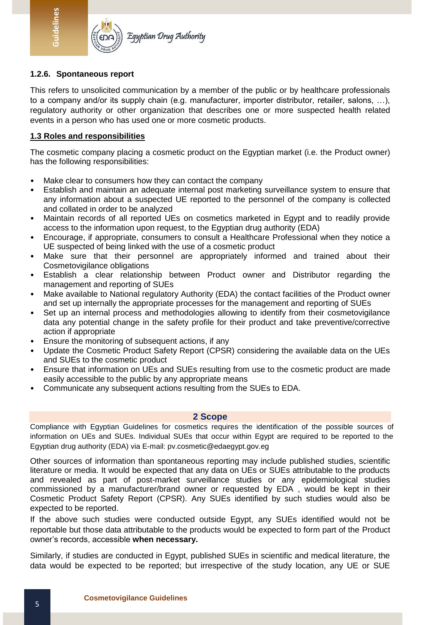

#### **1.2.6. Spontaneous report**

**Guidelines**

This refers to unsolicited communication by a member of the public or by healthcare professionals to a company and/or its supply chain (e.g. manufacturer, importer distributor, retailer, salons, …), regulatory authority or other organization that describes one or more suspected health related events in a person who has used one or more cosmetic products.

#### **1.3 Roles and responsibilities**

The cosmetic company placing a cosmetic product on the Egyptian market (i.e. the Product owner) has the following responsibilities:

- Make clear to consumers how they can contact the company
- Establish and maintain an adequate internal post marketing surveillance system to ensure that any information about a suspected UE reported to the personnel of the company is collected and collated in order to be analyzed
- Maintain records of all reported UEs on cosmetics marketed in Egypt and to readily provide access to the information upon request, to the Egyptian drug authority (EDA)
- Encourage, if appropriate, consumers to consult a Healthcare Professional when they notice a UE suspected of being linked with the use of a cosmetic product
- Make sure that their personnel are appropriately informed and trained about their Cosmetovigilance obligations
- Establish a clear relationship between Product owner and Distributor regarding the management and reporting of SUEs
- Make available to National regulatory Authority (EDA) the contact facilities of the Product owner and set up internally the appropriate processes for the management and reporting of SUEs
- Set up an internal process and methodologies allowing to identify from their cosmetovigilance data any potential change in the safety profile for their product and take preventive/corrective action if appropriate
- Ensure the monitoring of subsequent actions, if any
- Update the Cosmetic Product Safety Report (CPSR) considering the available data on the UEs and SUEs to the cosmetic product
- Ensure that information on UEs and SUEs resulting from use to the cosmetic product are made easily accessible to the public by any appropriate means
- <span id="page-5-0"></span>• Communicate any subsequent actions resulting from the SUEs to EDA.

#### **2 Scope**

Compliance with Egyptian Guidelines for cosmetics requires the identification of the possible sources of information on UEs and SUEs. Individual SUEs that occur within Egypt are required to be reported to the Egyptian drug authority (EDA) via E-mail: pv.cosmetic@edaegypt.gov.eg

Other sources of information than spontaneous reporting may include published studies, scientific literature or media. It would be expected that any data on UEs or SUEs attributable to the products and revealed as part of post-market surveillance studies or any epidemiological studies commissioned by a manufacturer/brand owner or requested by EDA , would be kept in their Cosmetic Product Safety Report (CPSR). Any SUEs identified by such studies would also be expected to be reported.

If the above such studies were conducted outside Egypt, any SUEs identified would not be reportable but those data attributable to the products would be expected to form part of the Product owner's records, accessible **when necessary.**

Similarly, if studies are conducted in Egypt, published SUEs in scientific and medical literature, the data would be expected to be reported; but irrespective of the study location, any UE or SUE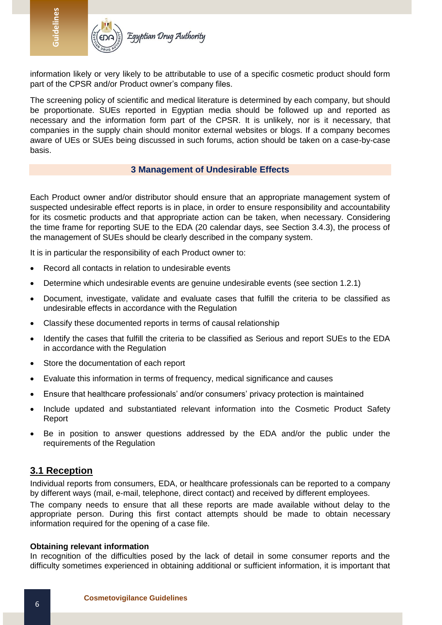

information likely or very likely to be attributable to use of a specific cosmetic product should form part of the CPSR and/or Product owner's company files.

The screening policy of scientific and medical literature is determined by each company, but should be proportionate. SUEs reported in Egyptian media should be followed up and reported as necessary and the information form part of the CPSR. It is unlikely, nor is it necessary, that companies in the supply chain should monitor external websites or blogs. If a company becomes aware of UEs or SUEs being discussed in such forums, action should be taken on a case-by-case basis.

#### **3 Management of Undesirable Effects**

<span id="page-6-0"></span>Each Product owner and/or distributor should ensure that an appropriate management system of suspected undesirable effect reports is in place, in order to ensure responsibility and accountability for its cosmetic products and that appropriate action can be taken, when necessary. Considering the time frame for reporting SUE to the EDA (20 calendar days, see Section 3.4.3), the process of the management of SUEs should be clearly described in the company system.

It is in particular the responsibility of each Product owner to:

- Record all contacts in relation to undesirable events
- Determine which undesirable events are genuine undesirable events (see section 1.2.1)
- Document, investigate, validate and evaluate cases that fulfill the criteria to be classified as undesirable effects in accordance with the Regulation
- Classify these documented reports in terms of causal relationship
- Identify the cases that fulfill the criteria to be classified as Serious and report SUEs to the EDA in accordance with the Regulation
- Store the documentation of each report
- Evaluate this information in terms of frequency, medical significance and causes
- Ensure that healthcare professionals' and/or consumers' privacy protection is maintained
- Include updated and substantiated relevant information into the Cosmetic Product Safety Report
- Be in position to answer questions addressed by the EDA and/or the public under the requirements of the Regulation

# <span id="page-6-1"></span>**3.1 Reception**

Individual reports from consumers, EDA, or healthcare professionals can be reported to a company by different ways (mail, e-mail, telephone, direct contact) and received by different employees.

The company needs to ensure that all these reports are made available without delay to the appropriate person. During this first contact attempts should be made to obtain necessary information required for the opening of a case file.

#### **Obtaining relevant information**

In recognition of the difficulties posed by the lack of detail in some consumer reports and the difficulty sometimes experienced in obtaining additional or sufficient information, it is important that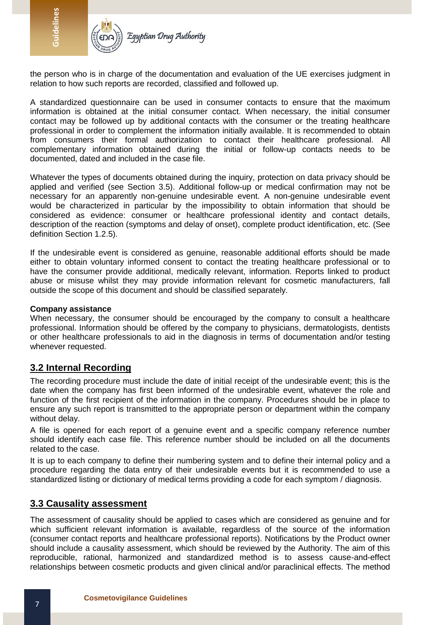

the person who is in charge of the documentation and evaluation of the UE exercises judgment in relation to how such reports are recorded, classified and followed up.

A standardized questionnaire can be used in consumer contacts to ensure that the maximum information is obtained at the initial consumer contact. When necessary, the initial consumer contact may be followed up by additional contacts with the consumer or the treating healthcare professional in order to complement the information initially available. It is recommended to obtain from consumers their formal authorization to contact their healthcare professional. All complementary information obtained during the initial or follow-up contacts needs to be documented, dated and included in the case file.

Whatever the types of documents obtained during the inquiry, protection on data privacy should be applied and verified (see Section 3.5). Additional follow-up or medical confirmation may not be necessary for an apparently non-genuine undesirable event. A non-genuine undesirable event would be characterized in particular by the impossibility to obtain information that should be considered as evidence: consumer or healthcare professional identity and contact details, description of the reaction (symptoms and delay of onset), complete product identification, etc. (See definition Section 1.2.5).

If the undesirable event is considered as genuine, reasonable additional efforts should be made either to obtain voluntary informed consent to contact the treating healthcare professional or to have the consumer provide additional, medically relevant, information. Reports linked to product abuse or misuse whilst they may provide information relevant for cosmetic manufacturers, fall outside the scope of this document and should be classified separately.

#### **Company assistance**

When necessary, the consumer should be encouraged by the company to consult a healthcare professional. Information should be offered by the company to physicians, dermatologists, dentists or other healthcare professionals to aid in the diagnosis in terms of documentation and/or testing whenever requested.

#### <span id="page-7-0"></span>**3.2 Internal Recording**

The recording procedure must include the date of initial receipt of the undesirable event; this is the date when the company has first been informed of the undesirable event, whatever the role and function of the first recipient of the information in the company. Procedures should be in place to ensure any such report is transmitted to the appropriate person or department within the company without delay.

A file is opened for each report of a genuine event and a specific company reference number should identify each case file. This reference number should be included on all the documents related to the case.

It is up to each company to define their numbering system and to define their internal policy and a procedure regarding the data entry of their undesirable events but it is recommended to use a standardized listing or dictionary of medical terms providing a code for each symptom / diagnosis.

#### <span id="page-7-1"></span>**3.3 Causality assessment**

The assessment of causality should be applied to cases which are considered as genuine and for which sufficient relevant information is available, regardless of the source of the information (consumer contact reports and healthcare professional reports). Notifications by the Product owner should include a causality assessment, which should be reviewed by the Authority. The aim of this reproducible, rational, harmonized and standardized method is to assess cause-and-effect relationships between cosmetic products and given clinical and/or paraclinical effects. The method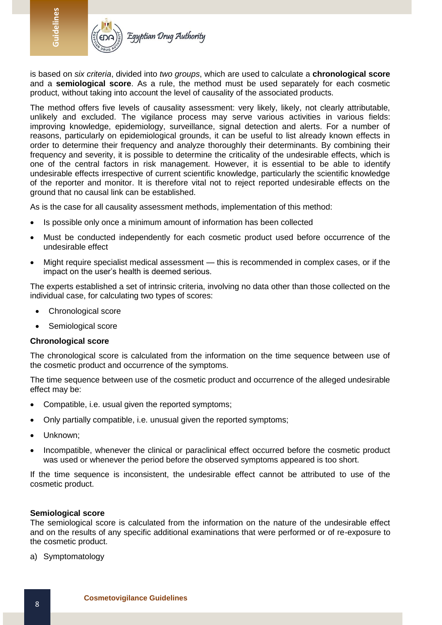

is based on *six criteria*, divided into *two groups*, which are used to calculate a **chronological score** and a **semiological score**. As a rule, the method must be used separately for each cosmetic product, without taking into account the level of causality of the associated products.

The method offers five levels of causality assessment: very likely, likely, not clearly attributable, unlikely and excluded. The vigilance process may serve various activities in various fields: improving knowledge, epidemiology, surveillance, signal detection and alerts. For a number of reasons, particularly on epidemiological grounds, it can be useful to list already known effects in order to determine their frequency and analyze thoroughly their determinants. By combining their frequency and severity, it is possible to determine the criticality of the undesirable effects, which is one of the central factors in risk management. However, it is essential to be able to identify undesirable effects irrespective of current scientific knowledge, particularly the scientific knowledge of the reporter and monitor. It is therefore vital not to reject reported undesirable effects on the ground that no causal link can be established.

As is the case for all causality assessment methods, implementation of this method:

- Is possible only once a minimum amount of information has been collected
- Must be conducted independently for each cosmetic product used before occurrence of the undesirable effect
- Might require specialist medical assessment this is recommended in complex cases, or if the impact on the user's health is deemed serious.

The experts established a set of intrinsic criteria, involving no data other than those collected on the individual case, for calculating two types of scores:

- Chronological score
- Semiological score

#### **Chronological score**

The chronological score is calculated from the information on the time sequence between use of the cosmetic product and occurrence of the symptoms.

The time sequence between use of the cosmetic product and occurrence of the alleged undesirable effect may be:

- Compatible, i.e. usual given the reported symptoms;
- Only partially compatible, i.e. unusual given the reported symptoms;
- Unknown;
- Incompatible, whenever the clinical or paraclinical effect occurred before the cosmetic product was used or whenever the period before the observed symptoms appeared is too short.

If the time sequence is inconsistent, the undesirable effect cannot be attributed to use of the cosmetic product.

#### **Semiological score**

The semiological score is calculated from the information on the nature of the undesirable effect and on the results of any specific additional examinations that were performed or of re-exposure to the cosmetic product.

a) Symptomatology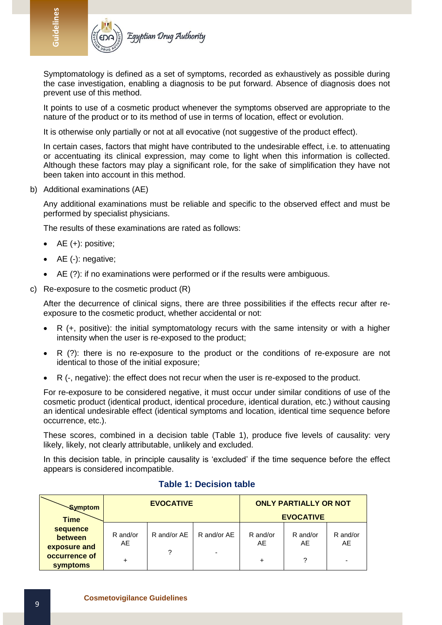

Symptomatology is defined as a set of symptoms, recorded as exhaustively as possible during the case investigation, enabling a diagnosis to be put forward. Absence of diagnosis does not prevent use of this method.

It points to use of a cosmetic product whenever the symptoms observed are appropriate to the nature of the product or to its method of use in terms of location, effect or evolution.

It is otherwise only partially or not at all evocative (not suggestive of the product effect).

In certain cases, factors that might have contributed to the undesirable effect, i.e. to attenuating or accentuating its clinical expression, may come to light when this information is collected. Although these factors may play a significant role, for the sake of simplification they have not been taken into account in this method.

b) Additional examinations (AE)

Any additional examinations must be reliable and specific to the observed effect and must be performed by specialist physicians.

The results of these examinations are rated as follows:

- AE (+): positive;
- AE (-): negative;
- AE (?): if no examinations were performed or if the results were ambiguous.
- c) Re-exposure to the cosmetic product (R)

After the decurrence of clinical signs, there are three possibilities if the effects recur after reexposure to the cosmetic product, whether accidental or not:

- R (+, positive): the initial symptomatology recurs with the same intensity or with a higher intensity when the user is re-exposed to the product;
- R (?): there is no re-exposure to the product or the conditions of re-exposure are not identical to those of the initial exposure;
- R (-, negative): the effect does not recur when the user is re-exposed to the product.

For re-exposure to be considered negative, it must occur under similar conditions of use of the cosmetic product (identical product, identical procedure, identical duration, etc.) without causing an identical undesirable effect (identical symptoms and location, identical time sequence before occurrence, etc.).

These scores, combined in a decision table (Table 1), produce five levels of causality: very likely, likely, not clearly attributable, unlikely and excluded.

In this decision table, in principle causality is 'excluded' if the time sequence before the effect appears is considered incompatible.

| <b>Symptom</b><br><b>Time</b>                                    | <b>EVOCATIVE</b>    |                  |                                         | <b>ONLY PARTIALLY OR NOT</b><br><b>EVOCATIVE</b> |                     |                                             |
|------------------------------------------------------------------|---------------------|------------------|-----------------------------------------|--------------------------------------------------|---------------------|---------------------------------------------|
| sequence<br>between<br>exposure and<br>occurrence of<br>symptoms | R and/or<br>AE<br>+ | R and/or AE<br>? | R and/or AE<br>$\overline{\phantom{a}}$ | R and/or<br>AE<br>$\ddot{}$                      | R and/or<br>AE<br>? | R and/or<br>AE.<br>$\overline{\phantom{0}}$ |

#### **Table 1: Decision table**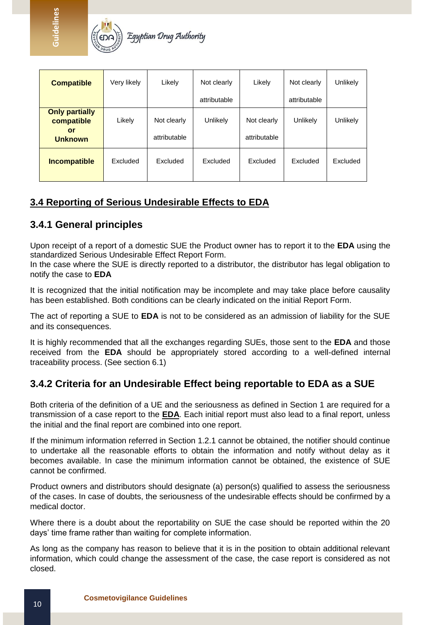

| <b>Compatible</b>                                           | Very likely | Likely                      | Not clearly  | Likely                      | Not clearly     | Unlikely |
|-------------------------------------------------------------|-------------|-----------------------------|--------------|-----------------------------|-----------------|----------|
|                                                             |             |                             | attributable |                             | attributable    |          |
| <b>Only partially</b><br>compatible<br>or<br><b>Unknown</b> | Likely      | Not clearly<br>attributable | Unlikely     | Not clearly<br>attributable | <b>Unlikely</b> | Unlikely |
| <b>Incompatible</b>                                         | Excluded    | Excluded                    | Excluded     | <b>Excluded</b>             | Excluded        | Excluded |

# <span id="page-10-0"></span>**3.4 Reporting of Serious Undesirable Effects to EDA**

# <span id="page-10-1"></span>**3.4.1 General principles**

**Guidelines**

Upon receipt of a report of a domestic SUE the Product owner has to report it to the **EDA** using the standardized Serious Undesirable Effect Report Form.

In the case where the SUE is directly reported to a distributor, the distributor has legal obligation to notify the case to **EDA**

It is recognized that the initial notification may be incomplete and may take place before causality has been established. Both conditions can be clearly indicated on the initial Report Form.

The act of reporting a SUE to **EDA** is not to be considered as an admission of liability for the SUE and its consequences.

It is highly recommended that all the exchanges regarding SUEs, those sent to the **EDA** and those received from the **EDA** should be appropriately stored according to a well-defined internal traceability process. (See section 6.1)

# <span id="page-10-2"></span>**3.4.2 Criteria for an Undesirable Effect being reportable to EDA as a SUE**

Both criteria of the definition of a UE and the seriousness as defined in Section 1 are required for a transmission of a case report to the **EDA**. Each initial report must also lead to a final report, unless the initial and the final report are combined into one report.

If the minimum information referred in Section 1.2.1 cannot be obtained, the notifier should continue to undertake all the reasonable efforts to obtain the information and notify without delay as it becomes available. In case the minimum information cannot be obtained, the existence of SUE cannot be confirmed.

Product owners and distributors should designate (a) person(s) qualified to assess the seriousness of the cases. In case of doubts, the seriousness of the undesirable effects should be confirmed by a medical doctor.

Where there is a doubt about the reportability on SUE the case should be reported within the 20 days' time frame rather than waiting for complete information.

As long as the company has reason to believe that it is in the position to obtain additional relevant information, which could change the assessment of the case, the case report is considered as not closed.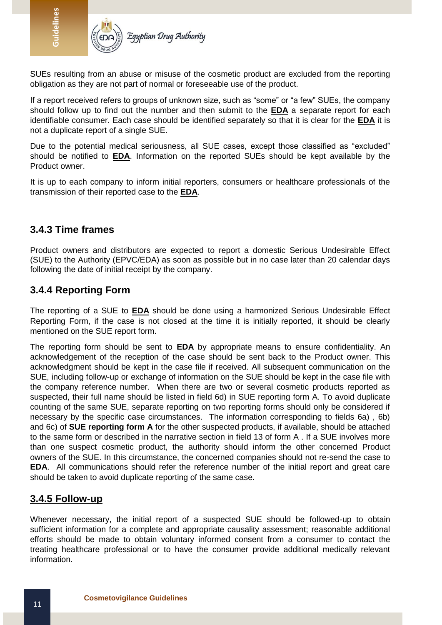

SUEs resulting from an abuse or misuse of the cosmetic product are excluded from the reporting obligation as they are not part of normal or foreseeable use of the product.

If a report received refers to groups of unknown size, such as "some" or "a few" SUEs, the company should follow up to find out the number and then submit to the **EDA** a separate report for each identifiable consumer. Each case should be identified separately so that it is clear for the **EDA** it is not a duplicate report of a single SUE.

Due to the potential medical seriousness, all SUE cases, except those classified as "excluded" should be notified to **EDA**. Information on the reported SUEs should be kept available by the Product owner.

It is up to each company to inform initial reporters, consumers or healthcare professionals of the transmission of their reported case to the **EDA**.

### <span id="page-11-0"></span>**3.4.3 Time frames**

**Guidelines**

Product owners and distributors are expected to report a domestic Serious Undesirable Effect (SUE) to the Authority (EPVC/EDA) as soon as possible but in no case later than 20 calendar days following the date of initial receipt by the company.

# <span id="page-11-1"></span>**3.4.4 Reporting Form**

The reporting of a SUE to **EDA** should be done using a harmonized Serious Undesirable Effect Reporting Form, if the case is not closed at the time it is initially reported, it should be clearly mentioned on the SUE report form.

The reporting form should be sent to **EDA** by appropriate means to ensure confidentiality. An acknowledgement of the reception of the case should be sent back to the Product owner. This acknowledgment should be kept in the case file if received. All subsequent communication on the SUE, including follow-up or exchange of information on the SUE should be kept in the case file with the company reference number. When there are two or several cosmetic products reported as suspected, their full name should be listed in field 6d) in SUE reporting form A. To avoid duplicate counting of the same SUE, separate reporting on two reporting forms should only be considered if necessary by the specific case circumstances. The information corresponding to fields 6a) , 6b) and 6c) of **SUE reporting form A** for the other suspected products, if available, should be attached to the same form or described in the narrative section in field 13 of form A . If a SUE involves more than one suspect cosmetic product, the authority should inform the other concerned Product owners of the SUE. In this circumstance, the concerned companies should not re-send the case to **EDA**. All communications should refer the reference number of the initial report and great care should be taken to avoid duplicate reporting of the same case.

#### <span id="page-11-2"></span>**3.4.5 Follow-up**

Whenever necessary, the initial report of a suspected SUE should be followed-up to obtain sufficient information for a complete and appropriate causality assessment; reasonable additional efforts should be made to obtain voluntary informed consent from a consumer to contact the treating healthcare professional or to have the consumer provide additional medically relevant information.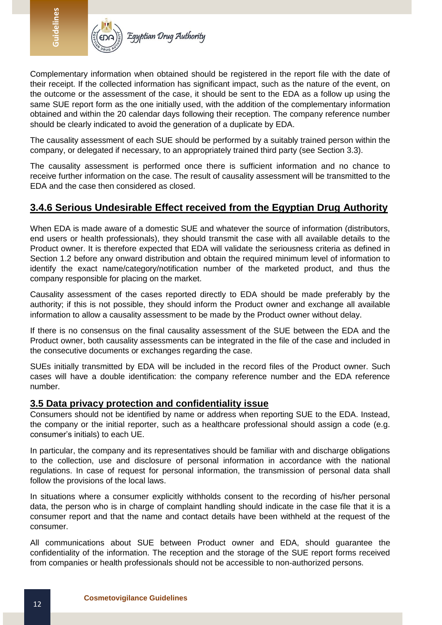

Complementary information when obtained should be registered in the report file with the date of their receipt. If the collected information has significant impact, such as the nature of the event, on the outcome or the assessment of the case, it should be sent to the EDA as a follow up using the same SUE report form as the one initially used, with the addition of the complementary information obtained and within the 20 calendar days following their reception. The company reference number should be clearly indicated to avoid the generation of a duplicate by EDA.

The causality assessment of each SUE should be performed by a suitably trained person within the company, or delegated if necessary, to an appropriately trained third party (see Section 3.3).

The causality assessment is performed once there is sufficient information and no chance to receive further information on the case. The result of causality assessment will be transmitted to the EDA and the case then considered as closed.

# <span id="page-12-0"></span>**3.4.6 Serious Undesirable Effect received from the Egyptian Drug Authority**

When EDA is made aware of a domestic SUE and whatever the source of information (distributors, end users or health professionals), they should transmit the case with all available details to the Product owner. It is therefore expected that EDA will validate the seriousness criteria as defined in Section 1.2 before any onward distribution and obtain the required minimum level of information to identify the exact name/category/notification number of the marketed product, and thus the company responsible for placing on the market.

Causality assessment of the cases reported directly to EDA should be made preferably by the authority; if this is not possible, they should inform the Product owner and exchange all available information to allow a causality assessment to be made by the Product owner without delay.

If there is no consensus on the final causality assessment of the SUE between the EDA and the Product owner, both causality assessments can be integrated in the file of the case and included in the consecutive documents or exchanges regarding the case.

SUEs initially transmitted by EDA will be included in the record files of the Product owner. Such cases will have a double identification: the company reference number and the EDA reference number.

# <span id="page-12-1"></span>**3.5 Data privacy protection and confidentiality issue**

Consumers should not be identified by name or address when reporting SUE to the EDA. Instead, the company or the initial reporter, such as a healthcare professional should assign a code (e.g. consumer's initials) to each UE.

In particular, the company and its representatives should be familiar with and discharge obligations to the collection, use and disclosure of personal information in accordance with the national regulations. In case of request for personal information, the transmission of personal data shall follow the provisions of the local laws.

In situations where a consumer explicitly withholds consent to the recording of his/her personal data, the person who is in charge of complaint handling should indicate in the case file that it is a consumer report and that the name and contact details have been withheld at the request of the consumer.

All communications about SUE between Product owner and EDA, should guarantee the confidentiality of the information. The reception and the storage of the SUE report forms received from companies or health professionals should not be accessible to non-authorized persons.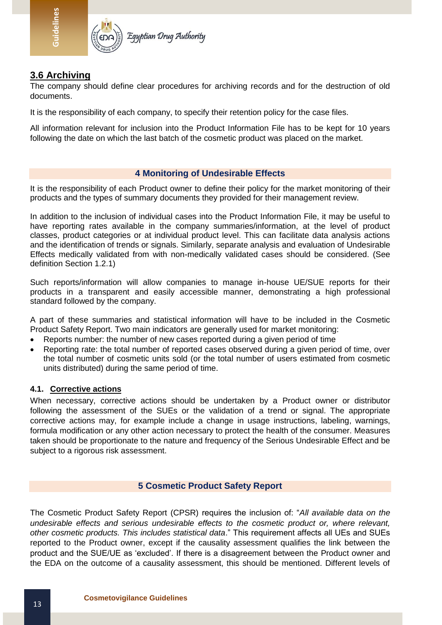

# <span id="page-13-0"></span>**3.6 Archiving**

**Guidelines**

The company should define clear procedures for archiving records and for the destruction of old documents.

It is the responsibility of each company, to specify their retention policy for the case files.

All information relevant for inclusion into the Product Information File has to be kept for 10 years following the date on which the last batch of the cosmetic product was placed on the market.

#### **4 Monitoring of Undesirable Effects**

<span id="page-13-1"></span>It is the responsibility of each Product owner to define their policy for the market monitoring of their products and the types of summary documents they provided for their management review.

In addition to the inclusion of individual cases into the Product Information File, it may be useful to have reporting rates available in the company summaries/information, at the level of product classes, product categories or at individual product level. This can facilitate data analysis actions and the identification of trends or signals. Similarly, separate analysis and evaluation of Undesirable Effects medically validated from with non-medically validated cases should be considered. (See definition Section 1.2.1)

Such reports/information will allow companies to manage in-house UE/SUE reports for their products in a transparent and easily accessible manner, demonstrating a high professional standard followed by the company.

A part of these summaries and statistical information will have to be included in the Cosmetic Product Safety Report. Two main indicators are generally used for market monitoring:

- Reports number: the number of new cases reported during a given period of time
- Reporting rate: the total number of reported cases observed during a given period of time, over the total number of cosmetic units sold (or the total number of users estimated from cosmetic units distributed) during the same period of time.

#### **4.1. Corrective actions**

When necessary, corrective actions should be undertaken by a Product owner or distributor following the assessment of the SUEs or the validation of a trend or signal. The appropriate corrective actions may, for example include a change in usage instructions, labeling, warnings, formula modification or any other action necessary to protect the health of the consumer. Measures taken should be proportionate to the nature and frequency of the Serious Undesirable Effect and be subject to a rigorous risk assessment.

#### **5 Cosmetic Product Safety Report**

<span id="page-13-2"></span>The Cosmetic Product Safety Report (CPSR) requires the inclusion of: "*All available data on the undesirable effects and serious undesirable effects to the cosmetic product or, where relevant, other cosmetic products. This includes statistical data*." This requirement affects all UEs and SUEs reported to the Product owner, except if the causality assessment qualifies the link between the product and the SUE/UE as 'excluded'. If there is a disagreement between the Product owner and the EDA on the outcome of a causality assessment, this should be mentioned. Different levels of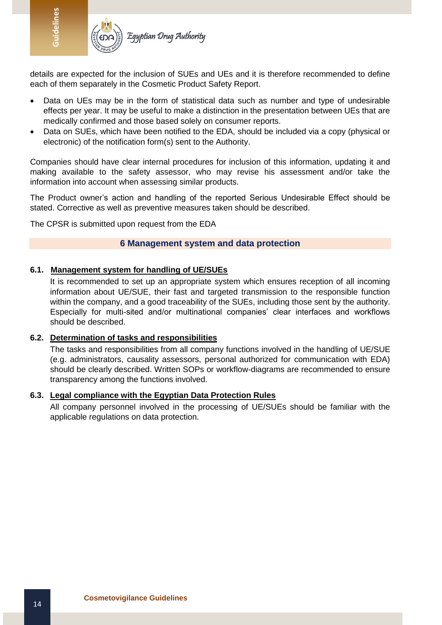

details are expected for the inclusion of SUEs and UEs and it is therefore recommended to define each of them separately in the Cosmetic Product Safety Report.

- Data on UEs may be in the form of statistical data such as number and type of undesirable effects per year. It may be useful to make a distinction in the presentation between UEs that are medically confirmed and those based solely on consumer reports.
- Data on SUEs, which have been notified to the EDA, should be included via a copy (physical or electronic) of the notification form(s) sent to the Authority.

Companies should have clear internal procedures for inclusion of this information, updating it and making available to the safety assessor, who may revise his assessment and/or take the information into account when assessing similar products.

The Product owner's action and handling of the reported Serious Undesirable Effect should be stated. Corrective as well as preventive measures taken should be described.

<span id="page-14-0"></span>The CPSR is submitted upon request from the EDA

#### **6 Management system and data protection**

#### **6.1. Management system for handling of UE/SUEs**

It is recommended to set up an appropriate system which ensures reception of all incoming information about UE/SUE, their fast and targeted transmission to the responsible function within the company, and a good traceability of the SUEs, including those sent by the authority. Especially for multi-sited and/or multinational companies' clear interfaces and workflows should be described.

#### **6.2. Determination of tasks and responsibilities**

The tasks and responsibilities from all company functions involved in the handling of UE/SUE (e.g. administrators, causality assessors, personal authorized for communication with EDA) should be clearly described. Written SOPs or workflow-diagrams are recommended to ensure transparency among the functions involved.

#### **6.3. Legal compliance with the Egyptian Data Protection Rules**

All company personnel involved in the processing of UE/SUEs should be familiar with the applicable regulations on data protection.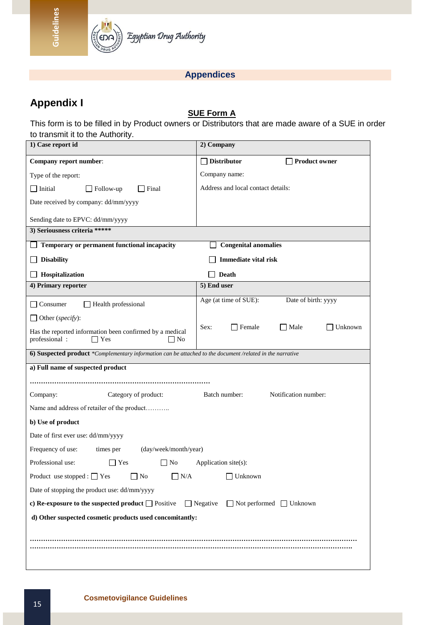

# **Appendices**

# <span id="page-15-0"></span>**Appendix I**

**Guidelines**

# **SUE Form A**

This form is to be filled in by Product owners or Distributors that are made aware of a SUE in order to transmit it to the Authority.

| 1) Case report id                                                                                                 | 2) Company                                      |  |  |  |
|-------------------------------------------------------------------------------------------------------------------|-------------------------------------------------|--|--|--|
| Company report number:                                                                                            | <b>Distributor</b><br><b>Product owner</b>      |  |  |  |
| Type of the report:                                                                                               | Company name:                                   |  |  |  |
| $\Box$ Initial<br>$\exists$ Final<br>Follow-up                                                                    | Address and local contact details:              |  |  |  |
| Date received by company: dd/mm/yyyy                                                                              |                                                 |  |  |  |
| Sending date to EPVC: dd/mm/yyyy                                                                                  |                                                 |  |  |  |
| 3) Seriousness criteria *****                                                                                     |                                                 |  |  |  |
| $\Box$ Temporary or permanent functional incapacity                                                               | <b>Congenital anomalies</b>                     |  |  |  |
| <b>Disability</b>                                                                                                 | <b>Immediate vital risk</b>                     |  |  |  |
| Hospitalization                                                                                                   | <b>Death</b>                                    |  |  |  |
| 4) Primary reporter                                                                                               | 5) End user                                     |  |  |  |
| Health professional<br>Consumer                                                                                   | Date of birth: yyyy<br>Age (at time of SUE):    |  |  |  |
| $\Box$ Other (specify):                                                                                           |                                                 |  |  |  |
| Has the reported information been confirmed by a medical<br>professional:<br>$\exists$ Yes<br>$\Box$ No           | $\Box$ Female<br>$\Box$ Male<br>Unknown<br>Sex: |  |  |  |
| 6) Suspected product *Complementary information can be attached to the document /related in the narrative         |                                                 |  |  |  |
| a) Full name of suspected product                                                                                 |                                                 |  |  |  |
|                                                                                                                   |                                                 |  |  |  |
| Category of product:<br>Company:                                                                                  | Notification number:<br>Batch number:           |  |  |  |
| Name and address of retailer of the product                                                                       |                                                 |  |  |  |
| b) Use of product                                                                                                 |                                                 |  |  |  |
| Date of first ever use: dd/mm/yyyy                                                                                |                                                 |  |  |  |
| Frequency of use:<br>times per<br>(day/week/month/year)                                                           |                                                 |  |  |  |
| Professional use:<br>$\Box$ Yes<br>N <sub>0</sub>                                                                 | Application site(s):                            |  |  |  |
| Product use stopped : $\Box$ Yes<br>$\Box$ No<br>$\bigsqcup$ N/A<br>∐ Unknown                                     |                                                 |  |  |  |
| Date of stopping the product use: dd/mm/yyyy                                                                      |                                                 |  |  |  |
| $\Box$ Negative<br>$\Box$ Not performed $\Box$ Unknown<br>c) Re-exposure to the suspected product $\Box$ Positive |                                                 |  |  |  |
| d) Other suspected cosmetic products used concomitantly:                                                          |                                                 |  |  |  |
|                                                                                                                   |                                                 |  |  |  |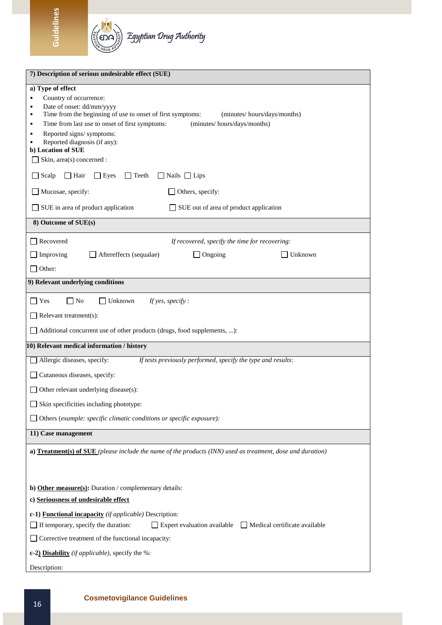

**Guidelines**

| 7) Description of serious undesirable effect (SUE)                                                                                                                                                                                                                                                                                                                                                         |  |  |  |  |
|------------------------------------------------------------------------------------------------------------------------------------------------------------------------------------------------------------------------------------------------------------------------------------------------------------------------------------------------------------------------------------------------------------|--|--|--|--|
| a) Type of effect<br>Country of occurrence:<br>$\bullet$<br>Date of onset: dd/mm/yyyy<br>$\bullet$<br>Time from the beginning of use to onset of first symptoms:<br>(minutes/hours/days/months)<br>$\bullet$<br>Time from last use to onset of first symptoms:<br>(minutes/hours/days/months)<br>$\bullet$<br>Reported signs/ symptoms:<br>$\bullet$<br>Reported diagnosis (if any):<br>b) Location of SUE |  |  |  |  |
| Skin, area(s) concerned :                                                                                                                                                                                                                                                                                                                                                                                  |  |  |  |  |
| $\Box$ Scalp<br>$\Box$ Hair<br>$\Box$ Eyes<br>$\Box$ Teeth<br>$\Box$ Nails $\Box$ Lips                                                                                                                                                                                                                                                                                                                     |  |  |  |  |
| $\Box$ Mucosae, specify:<br>Others, specify:                                                                                                                                                                                                                                                                                                                                                               |  |  |  |  |
| SUE in area of product application<br>SUE out of area of product application                                                                                                                                                                                                                                                                                                                               |  |  |  |  |
| 8) Outcome of SUE(s)                                                                                                                                                                                                                                                                                                                                                                                       |  |  |  |  |
| Recovered<br>If recovered, specify the time for recovering:                                                                                                                                                                                                                                                                                                                                                |  |  |  |  |
| Improving<br>Aftereffects (sequalae)<br>$\Box$ Ongoing<br>Unknown                                                                                                                                                                                                                                                                                                                                          |  |  |  |  |
| Other:                                                                                                                                                                                                                                                                                                                                                                                                     |  |  |  |  |
| 9) Relevant underlying conditions                                                                                                                                                                                                                                                                                                                                                                          |  |  |  |  |
| $\Box$ No<br>Yes<br>$\Box$ Unknown<br>If yes, specify :                                                                                                                                                                                                                                                                                                                                                    |  |  |  |  |
| Relevant treatment(s):                                                                                                                                                                                                                                                                                                                                                                                     |  |  |  |  |
| Additional concurrent use of other products (drugs, food supplements, ):                                                                                                                                                                                                                                                                                                                                   |  |  |  |  |
| 10) Relevant medical information / history                                                                                                                                                                                                                                                                                                                                                                 |  |  |  |  |
| Allergic diseases, specify:<br>If tests previously performed, specify the type and results:                                                                                                                                                                                                                                                                                                                |  |  |  |  |
| Cutaneous diseases, specify:                                                                                                                                                                                                                                                                                                                                                                               |  |  |  |  |
| Other relevant underlying disease(s):                                                                                                                                                                                                                                                                                                                                                                      |  |  |  |  |
| $\Box$ Skin specificities including phototype:                                                                                                                                                                                                                                                                                                                                                             |  |  |  |  |
| Others (example: specific climatic conditions or specific exposure):                                                                                                                                                                                                                                                                                                                                       |  |  |  |  |
| 11) Case management                                                                                                                                                                                                                                                                                                                                                                                        |  |  |  |  |
| a) Treatment(s) of SUE (please include the name of the products (INN) used as treatment, dose and duration)                                                                                                                                                                                                                                                                                                |  |  |  |  |
| b) Other measure(s): Duration / complementary details:                                                                                                                                                                                                                                                                                                                                                     |  |  |  |  |
| c) Seriousness of undesirable effect                                                                                                                                                                                                                                                                                                                                                                       |  |  |  |  |
| c-1) <b>Functional incapacity</b> (if applicable) Description:<br>$\Box$ If temporary, specify the duration:<br>$\Box$ Expert evaluation available $\Box$ Medical certificate available<br>Corrective treatment of the functional incapacity:                                                                                                                                                              |  |  |  |  |
| c-2) Disability (if applicable), specify the %:                                                                                                                                                                                                                                                                                                                                                            |  |  |  |  |
| Description:                                                                                                                                                                                                                                                                                                                                                                                               |  |  |  |  |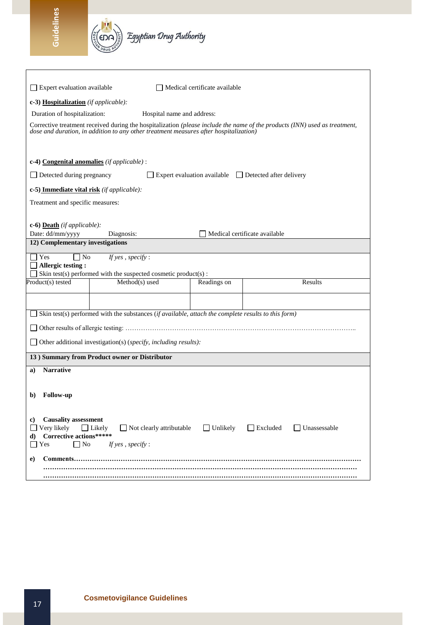**Guidelines**

| $\Box$ Expert evaluation available                                                                                                                                                                                                                |                                                                                                     | Medical certificate available |                                                            |  |
|---------------------------------------------------------------------------------------------------------------------------------------------------------------------------------------------------------------------------------------------------|-----------------------------------------------------------------------------------------------------|-------------------------------|------------------------------------------------------------|--|
| c-3) Hospitalization (if applicable):                                                                                                                                                                                                             |                                                                                                     |                               |                                                            |  |
| Duration of hospitalization:                                                                                                                                                                                                                      |                                                                                                     | Hospital name and address:    |                                                            |  |
| Corrective treatment received during the hospitalization (please include the name of the products (INN) used as treatment,<br>dose and duration, in addition to any other treatment measures after hospitalization)                               |                                                                                                     |                               |                                                            |  |
| c-4) Congenital anomalies (if applicable) :                                                                                                                                                                                                       |                                                                                                     |                               |                                                            |  |
| $\Box$ Detected during pregnancy                                                                                                                                                                                                                  |                                                                                                     |                               | Expert evaluation available $\Box$ Detected after delivery |  |
| c-5) Immediate vital risk (if applicable):                                                                                                                                                                                                        |                                                                                                     |                               |                                                            |  |
| Treatment and specific measures:                                                                                                                                                                                                                  |                                                                                                     |                               |                                                            |  |
|                                                                                                                                                                                                                                                   |                                                                                                     |                               |                                                            |  |
| c-6) <b>Death</b> ( <i>if applicable</i> ):                                                                                                                                                                                                       |                                                                                                     |                               |                                                            |  |
| Date: dd/mm/yyyy<br>12) Complementary investigations                                                                                                                                                                                              | Diagnosis:                                                                                          |                               | Medical certificate available                              |  |
| $\Box$ No<br>Yes                                                                                                                                                                                                                                  | If yes, specify:                                                                                    |                               |                                                            |  |
| Allergic testing:                                                                                                                                                                                                                                 |                                                                                                     |                               |                                                            |  |
|                                                                                                                                                                                                                                                   | Skin test(s) performed with the suspected cosmetic product(s):                                      |                               |                                                            |  |
| Product(s) tested                                                                                                                                                                                                                                 | Method(s) used                                                                                      | Readings on                   | Results                                                    |  |
|                                                                                                                                                                                                                                                   |                                                                                                     |                               |                                                            |  |
|                                                                                                                                                                                                                                                   | Skin test(s) performed with the substances (if available, attach the complete results to this form) |                               |                                                            |  |
|                                                                                                                                                                                                                                                   |                                                                                                     |                               |                                                            |  |
|                                                                                                                                                                                                                                                   | Other additional investigation(s) (specify, including results):                                     |                               |                                                            |  |
|                                                                                                                                                                                                                                                   | 13) Summary from Product owner or Distributor                                                       |                               |                                                            |  |
| <b>Narrative</b><br>a)                                                                                                                                                                                                                            |                                                                                                     |                               |                                                            |  |
|                                                                                                                                                                                                                                                   |                                                                                                     |                               |                                                            |  |
| <b>Follow-up</b><br>b)                                                                                                                                                                                                                            |                                                                                                     |                               |                                                            |  |
|                                                                                                                                                                                                                                                   |                                                                                                     |                               |                                                            |  |
| <b>Causality assessment</b><br>c)<br>Very likely<br>$\Box$ Not clearly attributable<br>$\Box$ Unlikely<br>$\Box$ Excluded<br>$\Box$ Likely<br>$\Box$ Unassessable<br><b>Corrective actions*****</b><br>d)<br>$\Box$ No<br>Yes<br>If yes, specify: |                                                                                                     |                               |                                                            |  |
| e)<br>Comments                                                                                                                                                                                                                                    |                                                                                                     |                               |                                                            |  |
|                                                                                                                                                                                                                                                   |                                                                                                     |                               |                                                            |  |